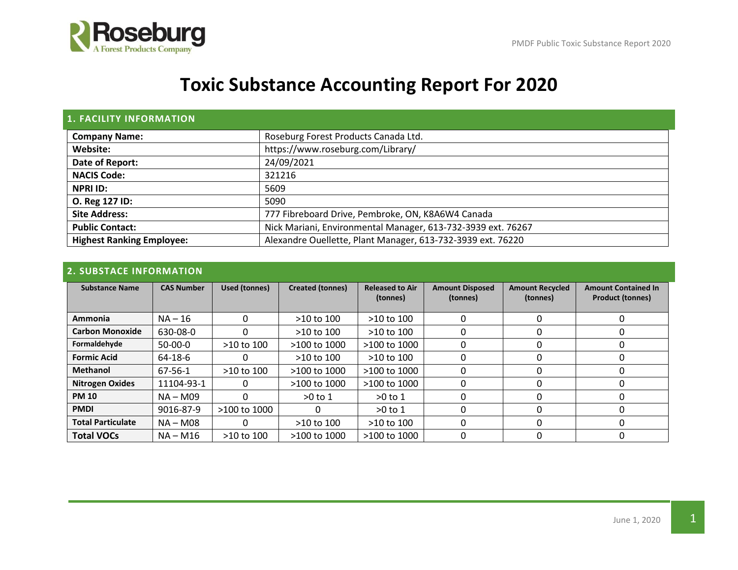

# **Toxic Substance Accounting Report For 2020**

| <b>1. FACILITY INFORMATION</b>   |                                                              |
|----------------------------------|--------------------------------------------------------------|
| <b>Company Name:</b>             | Roseburg Forest Products Canada Ltd.                         |
| Website:                         | https://www.roseburg.com/Library/                            |
| Date of Report:                  | 24/09/2021                                                   |
| <b>NACIS Code:</b>               | 321216                                                       |
| <b>NPRI ID:</b>                  | 5609                                                         |
| O. Reg 127 ID:                   | 5090                                                         |
| <b>Site Address:</b>             | 777 Fibreboard Drive, Pembroke, ON, K8A6W4 Canada            |
| <b>Public Contact:</b>           | Nick Mariani, Environmental Manager, 613-732-3939 ext. 76267 |
| <b>Highest Ranking Employee:</b> | Alexandre Ouellette, Plant Manager, 613-732-3939 ext. 76220  |

### **2. SUBSTACE INFORMATION**

| <b>Substance Name</b>    | <b>CAS Number</b> | Used (tonnes) | <b>Created (tonnes)</b> | <b>Released to Air</b><br>(tonnes) | <b>Amount Disposed</b><br>(tonnes) | <b>Amount Recycled</b><br>(tonnes) | <b>Amount Contained In</b><br><b>Product (tonnes)</b> |
|--------------------------|-------------------|---------------|-------------------------|------------------------------------|------------------------------------|------------------------------------|-------------------------------------------------------|
| Ammonia                  | $NA - 16$         | 0             | >10 to 100              | $>10$ to $100$                     |                                    | 0                                  | 0                                                     |
| <b>Carbon Monoxide</b>   | 630-08-0          | 0             | $>10$ to $100$          | $>10$ to $100$                     |                                    | 0                                  | $\Omega$                                              |
| Formaldehyde             | $50-00-0$         | >10 to 100    | >100 to 1000            | $>100$ to $1000$                   |                                    | 0                                  | 0                                                     |
| <b>Formic Acid</b>       | 64-18-6           | 0             | $>10$ to $100$          | $>10$ to $100$                     |                                    | 0                                  | 0                                                     |
| <b>Methanol</b>          | 67-56-1           | >10 to 100    | $>100$ to $1000$        | $>100$ to $1000$                   | O                                  | 0                                  | 0                                                     |
| <b>Nitrogen Oxides</b>   | 11104-93-1        | 0             | $>100$ to $1000$        | >100 to 1000                       |                                    | 0                                  | 0                                                     |
| <b>PM 10</b>             | $NA - M09$        | 0             | $>0$ to 1               | $>0$ to 1                          |                                    | 0                                  | 0                                                     |
| <b>PMDI</b>              | 9016-87-9         | >100 to 1000  |                         | $>0$ to 1                          |                                    | 0                                  |                                                       |
| <b>Total Particulate</b> | NA - M08          | 0             | $>10$ to $100$          | >10 to 100                         |                                    | 0                                  | 0                                                     |
| <b>Total VOCs</b>        | NA – M16          | >10 to 100    | >100 to 1000            | >100 to 1000                       |                                    | 0                                  | 0                                                     |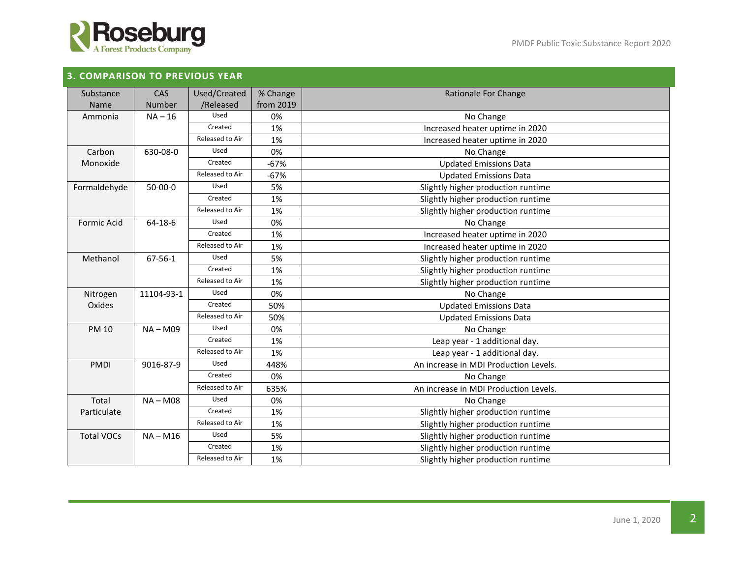

## **3. COMPARISON TO PREVIOUS YEAR**

| Substance                  | <b>CAS</b>    | Used/Created    | % Change                                 | Rationale For Change                                           |  |  |
|----------------------------|---------------|-----------------|------------------------------------------|----------------------------------------------------------------|--|--|
| Name                       | Number        | /Released       | from 2019                                |                                                                |  |  |
| Ammonia                    | $NA - 16$     | Used            | 0%                                       | No Change                                                      |  |  |
|                            |               | Created         | 1%                                       | Increased heater uptime in 2020                                |  |  |
|                            |               | Released to Air | 1%                                       | Increased heater uptime in 2020                                |  |  |
| Carbon                     | 630-08-0      | Used            | 0%                                       | No Change                                                      |  |  |
| Monoxide                   |               | Created         | $-67%$                                   |                                                                |  |  |
|                            |               | Released to Air | $-67%$                                   | <b>Updated Emissions Data</b><br><b>Updated Emissions Data</b> |  |  |
|                            | $50 - 00 - 0$ | Used            | 5%                                       |                                                                |  |  |
| Formaldehyde               |               | Created         |                                          | Slightly higher production runtime                             |  |  |
|                            |               | Released to Air | 1%                                       | Slightly higher production runtime                             |  |  |
|                            |               |                 | 1%                                       | Slightly higher production runtime                             |  |  |
| <b>Formic Acid</b>         | 64-18-6       | Used            | 0%                                       | No Change                                                      |  |  |
|                            |               | Created         | 1%                                       | Increased heater uptime in 2020                                |  |  |
|                            |               | Released to Air | 1%                                       | Increased heater uptime in 2020                                |  |  |
| Methanol                   | 67-56-1       | Used            | 5%<br>Slightly higher production runtime |                                                                |  |  |
|                            |               | Created         | 1%                                       | Slightly higher production runtime                             |  |  |
|                            |               | Released to Air | 1%                                       | Slightly higher production runtime                             |  |  |
| Nitrogen                   | 11104-93-1    | Used            | 0%                                       | No Change                                                      |  |  |
| Oxides                     |               | Created         | 50%                                      | <b>Updated Emissions Data</b>                                  |  |  |
|                            |               | Released to Air | 50%                                      | <b>Updated Emissions Data</b>                                  |  |  |
| <b>PM 10</b><br>$NA - M09$ |               | Used            | 0%                                       | No Change                                                      |  |  |
|                            |               | Created         | 1%                                       | Leap year - 1 additional day.                                  |  |  |
|                            |               | Released to Air | 1%                                       | Leap year - 1 additional day.                                  |  |  |
| <b>PMDI</b>                | 9016-87-9     | Used            | 448%                                     | An increase in MDI Production Levels.                          |  |  |
|                            |               | Created         | 0%                                       | No Change                                                      |  |  |
|                            |               | Released to Air | 635%                                     | An increase in MDI Production Levels.                          |  |  |
| Total<br>$NA - M08$        |               | Used            | 0%                                       | No Change                                                      |  |  |
| Particulate                |               | Created         | 1%                                       | Slightly higher production runtime                             |  |  |
|                            |               | Released to Air | 1%                                       | Slightly higher production runtime                             |  |  |
| <b>Total VOCs</b>          | $NA - M16$    | Used            | 5%                                       | Slightly higher production runtime                             |  |  |
|                            |               | Created         | 1%                                       | Slightly higher production runtime                             |  |  |
|                            |               | Released to Air | 1%                                       | Slightly higher production runtime                             |  |  |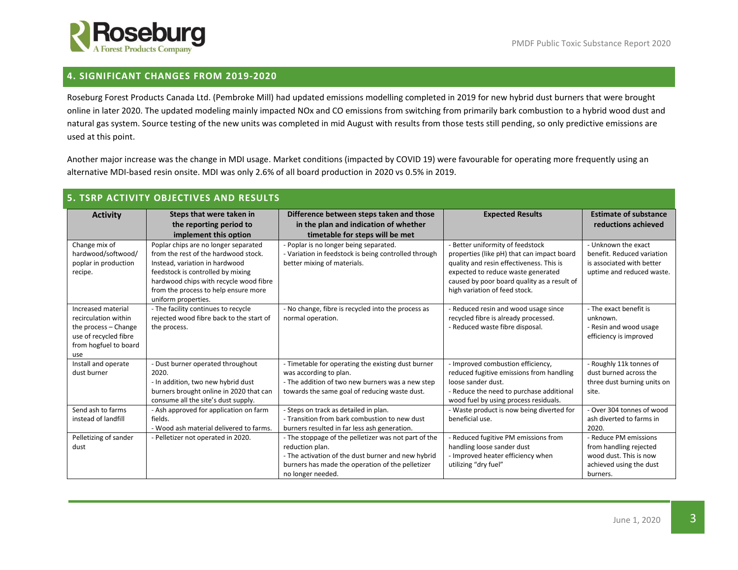

### **4. SIGNIFICANT CHANGES FROM 2019-2020**

Roseburg Forest Products Canada Ltd. (Pembroke Mill) had updated emissions modelling completed in 2019 for new hybrid dust burners that were brought online in later 2020. The updated modeling mainly impacted NOx and CO emissions from switching from primarily bark combustion to a hybrid wood dust and natural gas system. Source testing of the new units was completed in mid August with results from those tests still pending, so only predictive emissions are used at this point.

Another major increase was the change in MDI usage. Market conditions (impacted by COVID 19) were favourable for operating more frequently using an alternative MDI-based resin onsite. MDI was only 2.6% of all board production in 2020 vs 0.5% in 2019.

| <b>5. TSRP ACTIVITY OBJECTIVES AND RESULTS</b>                                                                              |                                                                                                                                                                                                                                                              |                                                                                                                                                                                                        |                                                                                                                                                                                                                                                  |                                                                                                                  |  |  |  |
|-----------------------------------------------------------------------------------------------------------------------------|--------------------------------------------------------------------------------------------------------------------------------------------------------------------------------------------------------------------------------------------------------------|--------------------------------------------------------------------------------------------------------------------------------------------------------------------------------------------------------|--------------------------------------------------------------------------------------------------------------------------------------------------------------------------------------------------------------------------------------------------|------------------------------------------------------------------------------------------------------------------|--|--|--|
| <b>Activity</b>                                                                                                             | Steps that were taken in<br>the reporting period to<br>implement this option                                                                                                                                                                                 | Difference between steps taken and those<br>in the plan and indication of whether<br>timetable for steps will be met                                                                                   | <b>Expected Results</b>                                                                                                                                                                                                                          | <b>Estimate of substance</b><br>reductions achieved                                                              |  |  |  |
| Change mix of<br>hardwood/softwood/<br>poplar in production<br>recipe.                                                      | Poplar chips are no longer separated<br>from the rest of the hardwood stock.<br>Instead, variation in hardwood<br>feedstock is controlled by mixing<br>hardwood chips with recycle wood fibre<br>from the process to help ensure more<br>uniform properties. | - Poplar is no longer being separated.<br>- Variation in feedstock is being controlled through<br>better mixing of materials.                                                                          | - Better uniformity of feedstock<br>properties (like pH) that can impact board<br>quality and resin effectiveness. This is<br>expected to reduce waste generated<br>caused by poor board quality as a result of<br>high variation of feed stock. | - Unknown the exact<br>benefit. Reduced variation<br>is associated with better<br>uptime and reduced waste.      |  |  |  |
| Increased material<br>recirculation within<br>the process - Change<br>use of recycled fibre<br>from hogfuel to board<br>use | - The facility continues to recycle<br>rejected wood fibre back to the start of<br>the process.                                                                                                                                                              | - No change, fibre is recycled into the process as<br>normal operation.                                                                                                                                | - Reduced resin and wood usage since<br>recycled fibre is already processed.<br>- Reduced waste fibre disposal.                                                                                                                                  | - The exact benefit is<br>unknown.<br>- Resin and wood usage<br>efficiency is improved                           |  |  |  |
| Install and operate<br>dust burner                                                                                          | - Dust burner operated throughout<br>2020.<br>- In addition, two new hybrid dust<br>burners brought online in 2020 that can<br>consume all the site's dust supply.                                                                                           | - Timetable for operating the existing dust burner<br>was according to plan.<br>- The addition of two new burners was a new step<br>towards the same goal of reducing waste dust.                      | - Improved combustion efficiency,<br>reduced fugitive emissions from handling<br>loose sander dust.<br>- Reduce the need to purchase additional<br>wood fuel by using process residuals.                                                         | - Roughly 11k tonnes of<br>dust burned across the<br>three dust burning units on<br>site.                        |  |  |  |
| Send ash to farms<br>instead of landfill                                                                                    | - Ash approved for application on farm<br>fields.<br>- Wood ash material delivered to farms.                                                                                                                                                                 | - Steps on track as detailed in plan.<br>- Transition from bark combustion to new dust<br>burners resulted in far less ash generation.                                                                 | - Waste product is now being diverted for<br>beneficial use.                                                                                                                                                                                     | - Over 304 tonnes of wood<br>ash diverted to farms in<br>2020.                                                   |  |  |  |
| Pelletizing of sander<br>dust                                                                                               | - Pelletizer not operated in 2020.                                                                                                                                                                                                                           | - The stoppage of the pelletizer was not part of the<br>reduction plan.<br>- The activation of the dust burner and new hybrid<br>burners has made the operation of the pelletizer<br>no longer needed. | - Reduced fugitive PM emissions from<br>handling loose sander dust<br>- Improved heater efficiency when<br>utilizing "dry fuel"                                                                                                                  | - Reduce PM emissions<br>from handling rejected<br>wood dust. This is now<br>achieved using the dust<br>burners. |  |  |  |